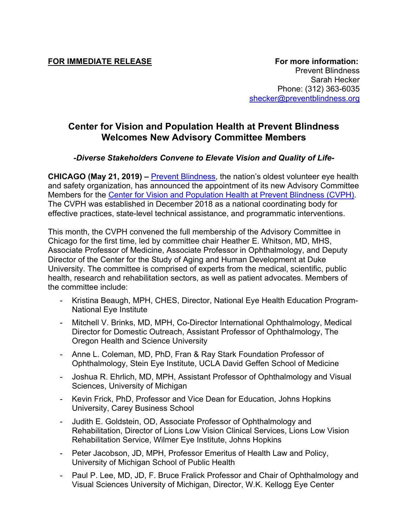## **Center for Vision and Population Health at Prevent Blindness Welcomes New Advisory Committee Members**

## *-Diverse Stakeholders Convene to Elevate Vision and Quality of Life-*

**CHICAGO (May 21, 2019) –** Prevent Blindness, the nation's oldest volunteer eye health and safety organization, has announced the appointment of its new Advisory Committee Members for the Center for Vision and Population Health at Prevent Blindness (CVPH). The CVPH was established in December 2018 as a national coordinating body for effective practices, state-level technical assistance, and programmatic interventions.

This month, the CVPH convened the full membership of the Advisory Committee in Chicago for the first time, led by committee chair Heather E. Whitson, MD, MHS, Associate Professor of Medicine, Associate Professor in Ophthalmology, and Deputy Director of the Center for the Study of Aging and Human Development at Duke University. The committee is comprised of experts from the medical, scientific, public health, research and rehabilitation sectors, as well as patient advocates. Members of the committee include:

- Kristina Beaugh, MPH, CHES, Director, National Eye Health Education Program-National Eye Institute
- Mitchell V. Brinks, MD, MPH, Co-Director International Ophthalmology, Medical Director for Domestic Outreach, Assistant Professor of Ophthalmology, The Oregon Health and Science University
- Anne L. Coleman, MD, PhD, Fran & Ray Stark Foundation Professor of Ophthalmology, Stein Eye Institute, UCLA David Geffen School of Medicine
- Joshua R. Ehrlich, MD, MPH, Assistant Professor of Ophthalmology and Visual Sciences, University of Michigan
- Kevin Frick, PhD, Professor and Vice Dean for Education, Johns Hopkins University, Carey Business School
- Judith E. Goldstein, OD, Associate Professor of Ophthalmology and Rehabilitation, Director of Lions Low Vision Clinical Services, Lions Low Vision Rehabilitation Service, Wilmer Eye Institute, Johns Hopkins
- Peter Jacobson, JD, MPH, Professor Emeritus of Health Law and Policy, University of Michigan School of Public Health
- Paul P. Lee, MD, JD, F. Bruce Fralick Professor and Chair of Ophthalmology and Visual Sciences University of Michigan, Director, W.K. Kellogg Eye Center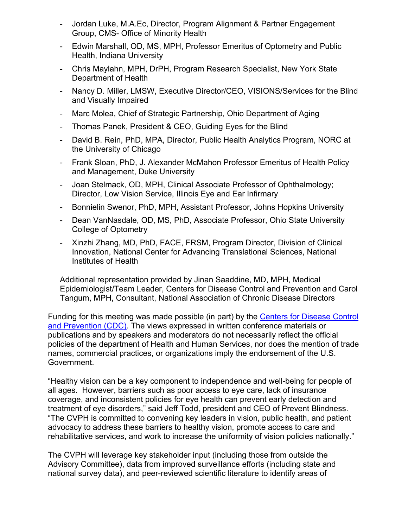- Jordan Luke, M.A.Ec, Director, Program Alignment & Partner Engagement Group, CMS- Office of Minority Health
- Edwin Marshall, OD, MS, MPH, Professor Emeritus of Optometry and Public Health, Indiana University
- Chris Maylahn, MPH, DrPH, Program Research Specialist, New York State Department of Health
- Nancy D. Miller, LMSW, Executive Director/CEO, VISIONS/Services for the Blind and Visually Impaired
- Marc Molea, Chief of Strategic Partnership, Ohio Department of Aging
- Thomas Panek, President & CEO, Guiding Eyes for the Blind
- David B. Rein, PhD, MPA, Director, Public Health Analytics Program, NORC at the University of Chicago
- Frank Sloan, PhD, J. Alexander McMahon Professor Emeritus of Health Policy and Management, Duke University
- Joan Stelmack, OD, MPH, Clinical Associate Professor of Ophthalmology; Director, Low Vision Service, Illinois Eye and Ear Infirmary
- Bonnielin Swenor, PhD, MPH, Assistant Professor, Johns Hopkins University
- Dean VanNasdale, OD, MS, PhD, Associate Professor, Ohio State University College of Optometry
- Xinzhi Zhang, MD, PhD, FACE, FRSM, Program Director, Division of Clinical Innovation, National Center for Advancing Translational Sciences, National Institutes of Health

Additional representation provided by Jinan Saaddine, MD, MPH, Medical Epidemiologist/Team Leader, Centers for Disease Control and Prevention and Carol Tangum, MPH, Consultant, National Association of Chronic Disease Directors

Funding for this meeting was made possible (in part) by the Centers for Disease Control and Prevention (CDC). The views expressed in written conference materials or publications and by speakers and moderators do not necessarily reflect the official policies of the department of Health and Human Services, nor does the mention of trade names, commercial practices, or organizations imply the endorsement of the U.S. Government.

"Healthy vision can be a key component to independence and well-being for people of all ages. However, barriers such as poor access to eye care, lack of insurance coverage, and inconsistent policies for eye health can prevent early detection and treatment of eye disorders," said Jeff Todd, president and CEO of Prevent Blindness. "The CVPH is committed to convening key leaders in vision, public health, and patient advocacy to address these barriers to healthy vision, promote access to care and rehabilitative services, and work to increase the uniformity of vision policies nationally."

The CVPH will leverage key stakeholder input (including those from outside the Advisory Committee), data from improved surveillance efforts (including state and national survey data), and peer-reviewed scientific literature to identify areas of